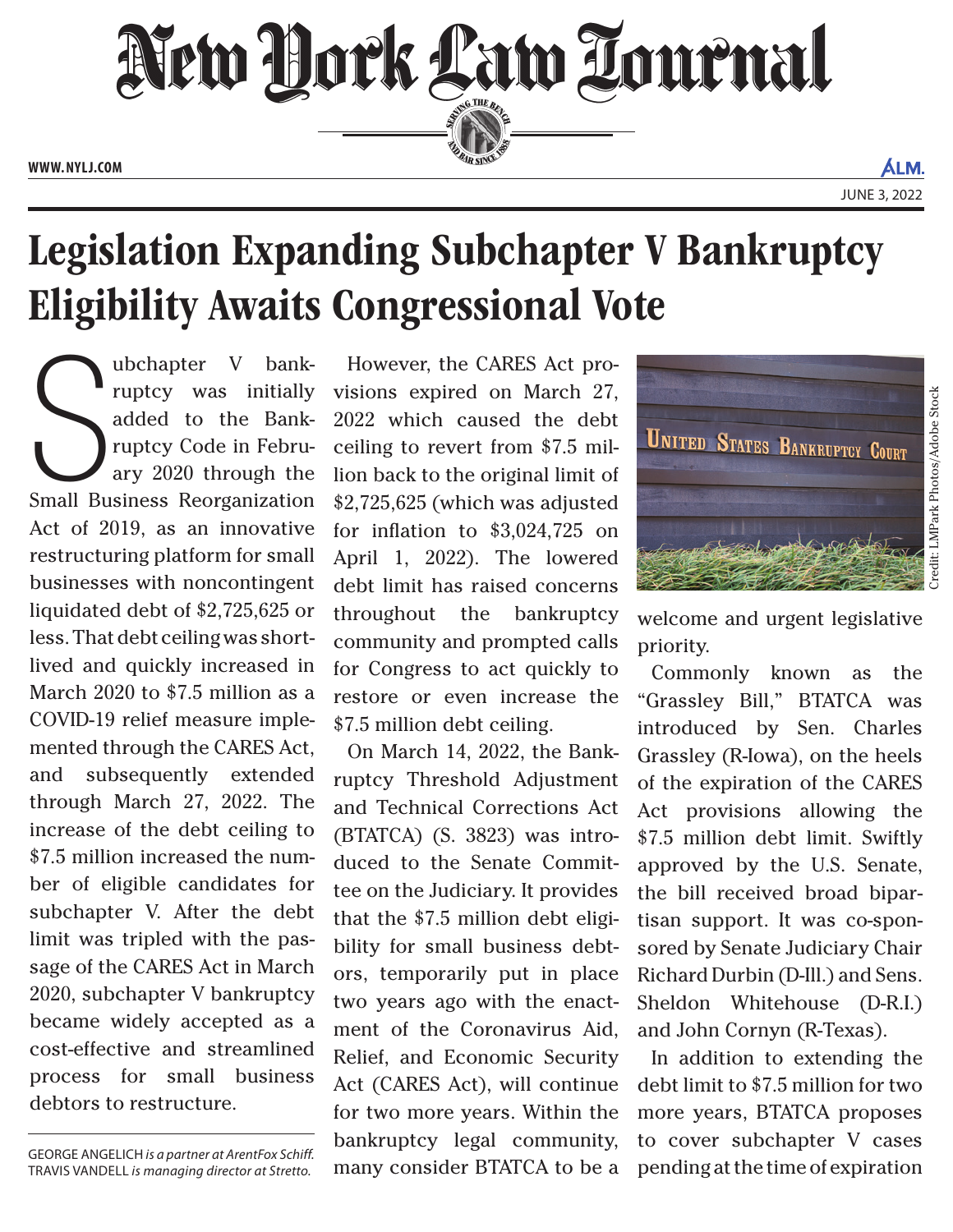

## Legislation Expanding Subchapter V Bankruptcy Eligibility Awaits Congressional Vote

We upter V bank-<br>
ruptcy was initially<br>
added to the Bank-<br>
ruptcy Code in Febru-<br>
ary 2020 through the<br>
Small Business Reorganization ubchapter V bankruptcy was initially added to the Bankruptcy Code in February 2020 through the Act of 2019, as an innovative restructuring platform for small businesses with noncontingent liquidated debt of \$2,725,625 or less. That debt ceiling was shortlived and quickly increased in March 2020 to \$7.5 million as a COVID-19 relief measure implemented through the CARES Act, and subsequently extended through March 27, 2022. The increase of the debt ceiling to \$7.5 million increased the number of eligible candidates for subchapter V. After the debt limit was tripled with the passage of the CARES Act in March 2020, subchapter V bankruptcy became widely accepted as a cost-effective and streamlined process for small business debtors to restructure.

GEORGE ANGELICH *is a partner at ArentFox Schiff.*  TRAVIS VANDELL *is managing director at Stretto.*

However, the CARES Act provisions expired on March 27, 2022 which caused the debt ceiling to revert from \$7.5 million back to the original limit of \$2,725,625 (which was adjusted for inflation to \$3,024,725 on April 1, 2022). The lowered debt limit has raised concerns throughout the bankruptcy community and prompted calls for Congress to act quickly to restore or even increase the \$7.5 million debt ceiling.

On March 14, 2022, the Bankruptcy Threshold Adjustment and Technical Corrections Act (BTATCA) (S. 3823) was introduced to the Senate Committee on the Judiciary. It provides that the \$7.5 million debt eligibility for small business debtors, temporarily put in place two years ago with the enactment of the Coronavirus Aid, Relief, and Economic Security Act (CARES Act), will continue for two more years. Within the bankruptcy legal community, many consider BTATCA to be a



welcome and urgent legislative priority.

Commonly known as the "Grassley Bill," BTATCA was introduced by Sen. Charles Grassley (R-Iowa), on the heels of the expiration of the CARES Act provisions allowing the \$7.5 million debt limit. Swiftly approved by the U.S. Senate, the bill received broad bipartisan support. It was co-sponsored by Senate Judiciary Chair Richard Durbin (D-Ill.) and Sens. Sheldon Whitehouse (D-R.I.) and John Cornyn (R-Texas).

In addition to extending the debt limit to \$7.5 million for two more years, BTATCA proposes to cover subchapter V cases pending at the time of expiration

ALM.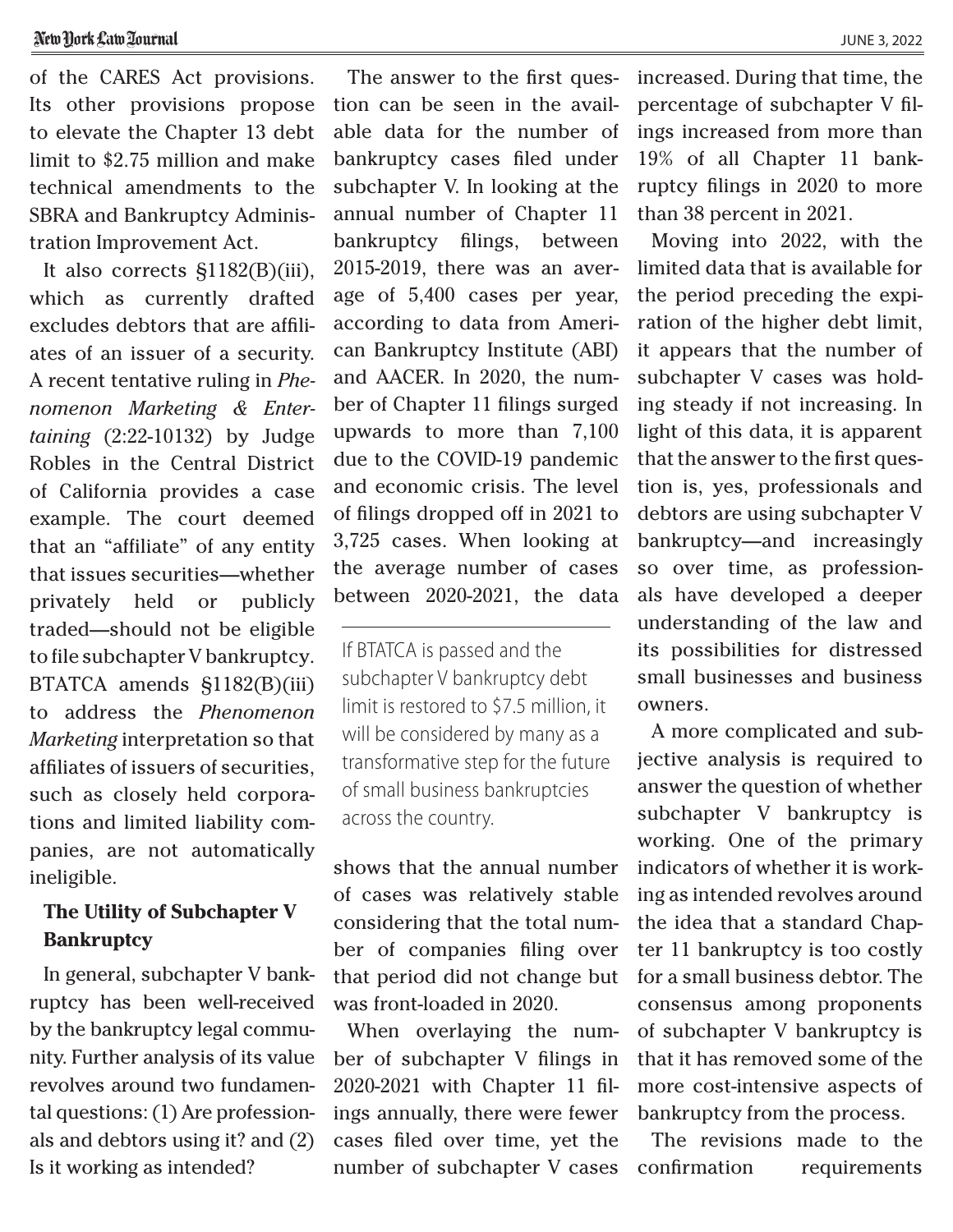of the CARES Act provisions. Its other provisions propose to elevate the Chapter 13 debt limit to \$2.75 million and make technical amendments to the SBRA and Bankruptcy Administration Improvement Act.

It also corrects §1182(B)(iii), which as currently drafted excludes debtors that are affiliates of an issuer of a security. A recent tentative ruling in *Phenomenon Marketing & Entertaining* (2:22-10132) by Judge Robles in the Central District of California provides a case example. The court deemed that an "affiliate" of any entity that issues securities—whether privately held or publicly traded—should not be eligible to file subchapter V bankruptcy. BTATCA amends §1182(B)(iii) to address the *Phenomenon Marketing* interpretation so that affiliates of issuers of securities, such as closely held corporations and limited liability companies, are not automatically ineligible.

## **The Utility of Subchapter V Bankruptcy**

In general, subchapter V bankruptcy has been well-received by the bankruptcy legal community. Further analysis of its value revolves around two fundamental questions: (1) Are professionals and debtors using it? and (2) Is it working as intended?

The answer to the first question can be seen in the available data for the number of bankruptcy cases filed under subchapter V. In looking at the annual number of Chapter 11 bankruptcy filings, between 2015-2019, there was an average of 5,400 cases per year, according to data from American Bankruptcy Institute (ABI) and AACER. In 2020, the number of Chapter 11 filings surged upwards to more than 7,100 due to the COVID-19 pandemic and economic crisis. The level of filings dropped off in 2021 to 3,725 cases. When looking at the average number of cases between 2020-2021, the data

If BTATCA is passed and the subchapter V bankruptcy debt limit is restored to \$7.5 million, it will be considered by many as a transformative step for the future of small business bankruptcies across the country.

shows that the annual number of cases was relatively stable considering that the total number of companies filing over that period did not change but was front-loaded in 2020.

When overlaying the number of subchapter V filings in 2020-2021 with Chapter 11 filings annually, there were fewer cases filed over time, yet the number of subchapter V cases increased. During that time, the percentage of subchapter V filings increased from more than 19% of all Chapter 11 bankruptcy filings in 2020 to more than 38 percent in 2021.

Moving into 2022, with the limited data that is available for the period preceding the expiration of the higher debt limit, it appears that the number of subchapter V cases was holding steady if not increasing. In light of this data, it is apparent that the answer to the first question is, yes, professionals and debtors are using subchapter V bankruptcy—and increasingly so over time, as professionals have developed a deeper understanding of the law and its possibilities for distressed small businesses and business owners.

A more complicated and subjective analysis is required to answer the question of whether subchapter V bankruptcy is working. One of the primary indicators of whether it is working as intended revolves around the idea that a standard Chapter 11 bankruptcy is too costly for a small business debtor. The consensus among proponents of subchapter V bankruptcy is that it has removed some of the more cost-intensive aspects of bankruptcy from the process.

The revisions made to the confirmation requirements